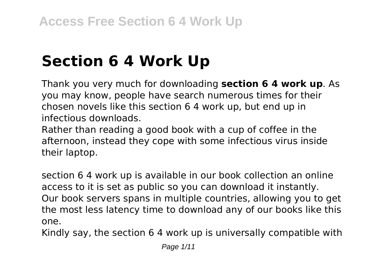# **Section 6 4 Work Up**

Thank you very much for downloading **section 6 4 work up**. As you may know, people have search numerous times for their chosen novels like this section 6 4 work up, but end up in infectious downloads.

Rather than reading a good book with a cup of coffee in the afternoon, instead they cope with some infectious virus inside their laptop.

section 6 4 work up is available in our book collection an online access to it is set as public so you can download it instantly. Our book servers spans in multiple countries, allowing you to get the most less latency time to download any of our books like this one.

Kindly say, the section 6 4 work up is universally compatible with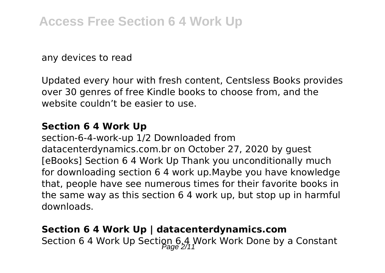any devices to read

Updated every hour with fresh content, Centsless Books provides over 30 genres of free Kindle books to choose from, and the website couldn't be easier to use.

#### **Section 6 4 Work Up**

section-6-4-work-up 1/2 Downloaded from datacenterdynamics.com.br on October 27, 2020 by guest [eBooks] Section 6 4 Work Up Thank you unconditionally much for downloading section 6 4 work up.Maybe you have knowledge that, people have see numerous times for their favorite books in the same way as this section 6 4 work up, but stop up in harmful downloads.

# **Section 6 4 Work Up | datacenterdynamics.com** Section 6 4 Work Up Section 6.4 Work Work Done by a Constant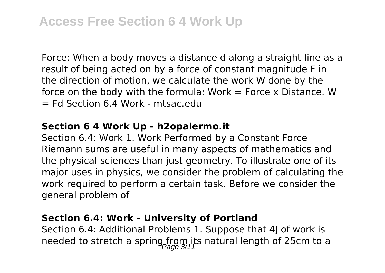Force: When a body moves a distance d along a straight line as a result of being acted on by a force of constant magnitude F in the direction of motion, we calculate the work W done by the force on the body with the formula:  $Work = Force \times Distance$ . W  $=$  Ed Section 6.4 Work - mtsac.edu

#### **Section 6 4 Work Up - h2opalermo.it**

Section 6.4: Work 1. Work Performed by a Constant Force Riemann sums are useful in many aspects of mathematics and the physical sciences than just geometry. To illustrate one of its major uses in physics, we consider the problem of calculating the work required to perform a certain task. Before we consider the general problem of

#### **Section 6.4: Work - University of Portland**

Section 6.4: Additional Problems 1. Suppose that 4J of work is needed to stretch a spring from its natural length of 25cm to a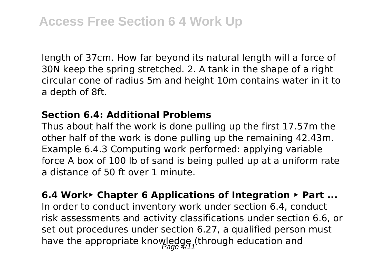length of 37cm. How far beyond its natural length will a force of 30N keep the spring stretched. 2. A tank in the shape of a right circular cone of radius 5m and height 10m contains water in it to a depth of 8ft.

#### **Section 6.4: Additional Problems**

Thus about half the work is done pulling up the first 17.57m the other half of the work is done pulling up the remaining 42.43m. Example 6.4.3 Computing work performed: applying variable force A box of 100 lb of sand is being pulled up at a uniform rate a distance of 50 ft over 1 minute.

**6.4 Work‣ Chapter 6 Applications of Integration ‣ Part ...** In order to conduct inventory work under section 6.4, conduct risk assessments and activity classifications under section 6.6, or set out procedures under section 6.27, a qualified person must have the appropriate knowledge (through education and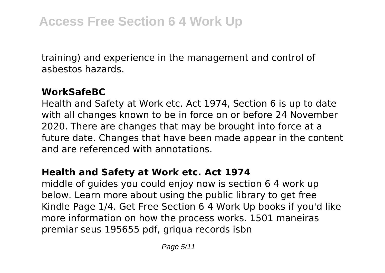training) and experience in the management and control of asbestos hazards.

# **WorkSafeBC**

Health and Safety at Work etc. Act 1974, Section 6 is up to date with all changes known to be in force on or before 24 November 2020. There are changes that may be brought into force at a future date. Changes that have been made appear in the content and are referenced with annotations.

## **Health and Safety at Work etc. Act 1974**

middle of guides you could enjoy now is section 6 4 work up below. Learn more about using the public library to get free Kindle Page 1/4. Get Free Section 6 4 Work Up books if you'd like more information on how the process works. 1501 maneiras premiar seus 195655 pdf, griqua records isbn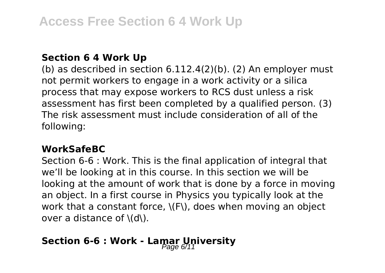#### **Section 6 4 Work Up**

(b) as described in section 6.112.4(2)(b). (2) An employer must not permit workers to engage in a work activity or a silica process that may expose workers to RCS dust unless a risk assessment has first been completed by a qualified person. (3) The risk assessment must include consideration of all of the following:

## **WorkSafeBC**

Section 6-6 : Work. This is the final application of integral that we'll be looking at in this course. In this section we will be looking at the amount of work that is done by a force in moving an object. In a first course in Physics you typically look at the work that a constant force, \(F\), does when moving an object over a distance of \(d\).

# **Section 6-6 : Work - Lamar University**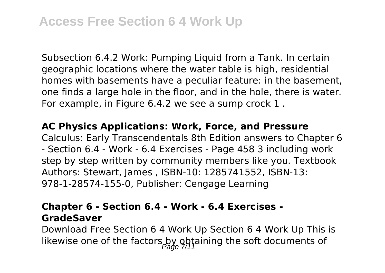Subsection 6.4.2 Work: Pumping Liquid from a Tank. In certain geographic locations where the water table is high, residential homes with basements have a peculiar feature: in the basement, one finds a large hole in the floor, and in the hole, there is water. For example, in Figure 6.4.2 we see a sump crock 1 .

#### **AC Physics Applications: Work, Force, and Pressure**

Calculus: Early Transcendentals 8th Edition answers to Chapter 6 - Section 6.4 - Work - 6.4 Exercises - Page 458 3 including work step by step written by community members like you. Textbook Authors: Stewart, James , ISBN-10: 1285741552, ISBN-13: 978-1-28574-155-0, Publisher: Cengage Learning

#### **Chapter 6 - Section 6.4 - Work - 6.4 Exercises - GradeSaver**

Download Free Section 6 4 Work Up Section 6 4 Work Up This is likewise one of the factors by obtaining the soft documents of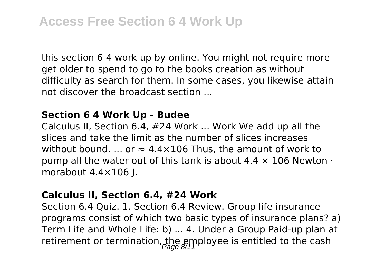this section 6 4 work up by online. You might not require more get older to spend to go to the books creation as without difficulty as search for them. In some cases, you likewise attain not discover the broadcast section ...

#### **Section 6 4 Work Up - Budee**

Calculus II, Section 6.4, #24 Work ... Work We add up all the slices and take the limit as the number of slices increases without bound. ... or  $\approx 4.4 \times 106$  Thus, the amount of work to pump all the water out of this tank is about  $4.4 \times 106$  Newton  $\cdot$ morabout 4.4×106 J.

#### **Calculus II, Section 6.4, #24 Work**

Section 6.4 Quiz. 1. Section 6.4 Review. Group life insurance programs consist of which two basic types of insurance plans? a) Term Life and Whole Life: b) ... 4. Under a Group Paid-up plan at retirement or termination, the employee is entitled to the cash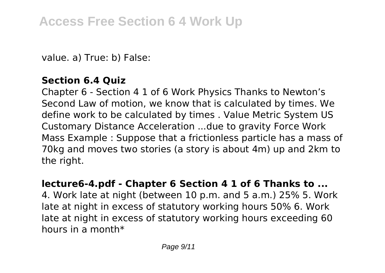value. a) True: b) False:

# **Section 6.4 Quiz**

Chapter 6 - Section 4 1 of 6 Work Physics Thanks to Newton's Second Law of motion, we know that is calculated by times. We define work to be calculated by times . Value Metric System US Customary Distance Acceleration ...due to gravity Force Work Mass Example : Suppose that a frictionless particle has a mass of 70kg and moves two stories (a story is about 4m) up and 2km to the right.

## **lecture6-4.pdf - Chapter 6 Section 4 1 of 6 Thanks to ...**

4. Work late at night (between 10 p.m. and 5 a.m.) 25% 5. Work late at night in excess of statutory working hours 50% 6. Work late at night in excess of statutory working hours exceeding 60 hours in a month\*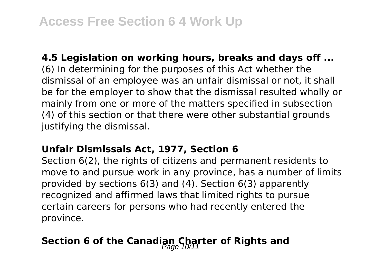#### **4.5 Legislation on working hours, breaks and days off ...**

(6) In determining for the purposes of this Act whether the dismissal of an employee was an unfair dismissal or not, it shall be for the employer to show that the dismissal resulted wholly or mainly from one or more of the matters specified in subsection (4) of this section or that there were other substantial grounds justifying the dismissal.

#### **Unfair Dismissals Act, 1977, Section 6**

Section 6(2), the rights of citizens and permanent residents to move to and pursue work in any province, has a number of limits provided by sections 6(3) and (4). Section 6(3) apparently recognized and affirmed laws that limited rights to pursue certain careers for persons who had recently entered the province.

# **Section 6 of the Canadian Charter of Rights and**